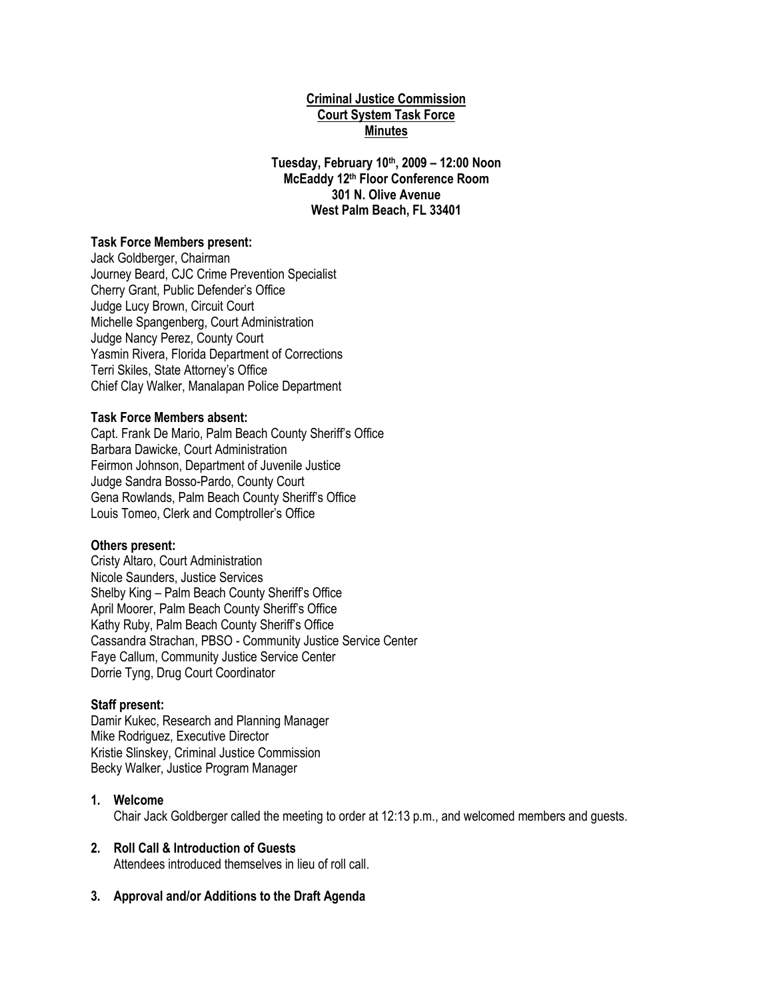### **Criminal Justice Commission Court System Task Force Minutes**

**Tuesday, February 10th, 2009 – 12:00 Noon McEaddy 12th Floor Conference Room 301 N. Olive Avenue West Palm Beach, FL 33401**

#### **Task Force Members present:**

Jack Goldberger, Chairman Journey Beard, CJC Crime Prevention Specialist Cherry Grant, Public Defender's Office Judge Lucy Brown, Circuit Court Michelle Spangenberg, Court Administration Judge Nancy Perez, County Court Yasmin Rivera, Florida Department of Corrections Terri Skiles, State Attorney's Office Chief Clay Walker, Manalapan Police Department

#### **Task Force Members absent:**

Capt. Frank De Mario, Palm Beach County Sheriff's Office Barbara Dawicke, Court Administration Feirmon Johnson, Department of Juvenile Justice Judge Sandra Bosso-Pardo, County Court Gena Rowlands, Palm Beach County Sheriff's Office Louis Tomeo, Clerk and Comptroller's Office

#### **Others present:**

Cristy Altaro, Court Administration Nicole Saunders, Justice Services Shelby King – Palm Beach County Sheriff's Office April Moorer, Palm Beach County Sheriff's Office Kathy Ruby, Palm Beach County Sheriff's Office Cassandra Strachan, PBSO - Community Justice Service Center Faye Callum, Community Justice Service Center Dorrie Tyng, Drug Court Coordinator

#### **Staff present:**

Damir Kukec, Research and Planning Manager Mike Rodriguez, Executive Director Kristie Slinskey, Criminal Justice Commission Becky Walker, Justice Program Manager

#### **1. Welcome**

Chair Jack Goldberger called the meeting to order at 12:13 p.m., and welcomed members and guests.

#### **2. Roll Call & Introduction of Guests**

Attendees introduced themselves in lieu of roll call.

# **3. Approval and/or Additions to the Draft Agenda**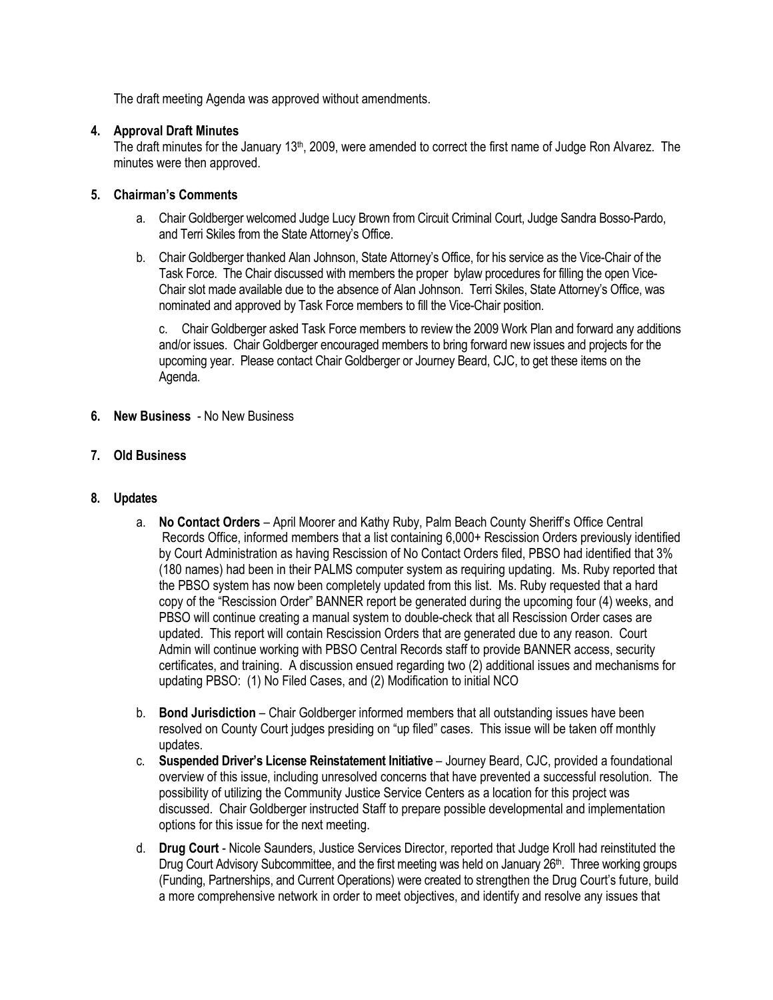The draft meeting Agenda was approved without amendments.

## **4. Approval Draft Minutes**

The draft minutes for the January 13<sup>th</sup>, 2009, were amended to correct the first name of Judge Ron Alvarez. The minutes were then approved.

## **5. Chairman's Comments**

- a. Chair Goldberger welcomed Judge Lucy Brown from Circuit Criminal Court, Judge Sandra Bosso-Pardo, and Terri Skiles from the State Attorney's Office.
- b. Chair Goldberger thanked Alan Johnson, State Attorney's Office, for his service as the Vice-Chair of the Task Force. The Chair discussed with members the proper bylaw procedures for filling the open Vice-Chair slot made available due to the absence of Alan Johnson. Terri Skiles, State Attorney's Office, was nominated and approved by Task Force members to fill the Vice-Chair position.

c. Chair Goldberger asked Task Force members to review the 2009 Work Plan and forward any additions and/or issues. Chair Goldberger encouraged members to bring forward new issues and projects for the upcoming year. Please contact Chair Goldberger or Journey Beard, CJC, to get these items on the Agenda.

- **6. New Business** No New Business
- **7. Old Business**
- **8. Updates**
	- a. **No Contact Orders** April Moorer and Kathy Ruby, Palm Beach County Sheriff's Office Central Records Office, informed members that a list containing 6,000+ Rescission Orders previously identified by Court Administration as having Rescission of No Contact Orders filed, PBSO had identified that 3% (180 names) had been in their PALMS computer system as requiring updating. Ms. Ruby reported that the PBSO system has now been completely updated from this list. Ms. Ruby requested that a hard copy of the "Rescission Order" BANNER report be generated during the upcoming four (4) weeks, and PBSO will continue creating a manual system to double-check that all Rescission Order cases are updated. This report will contain Rescission Orders that are generated due to any reason. Court Admin will continue working with PBSO Central Records staff to provide BANNER access, security certificates, and training. A discussion ensued regarding two (2) additional issues and mechanisms for updating PBSO: (1) No Filed Cases, and (2) Modification to initial NCO
	- b. **Bond Jurisdiction** Chair Goldberger informed members that all outstanding issues have been resolved on County Court judges presiding on "up filed" cases. This issue will be taken off monthly updates.
	- c. **Suspended Driver's License Reinstatement Initiative**  Journey Beard, CJC, provided a foundational overview of this issue, including unresolved concerns that have prevented a successful resolution. The possibility of utilizing the Community Justice Service Centers as a location for this project was discussed. Chair Goldberger instructed Staff to prepare possible developmental and implementation options for this issue for the next meeting.
	- d. **Drug Court**  Nicole Saunders, Justice Services Director, reported that Judge Kroll had reinstituted the Drug Court Advisory Subcommittee, and the first meeting was held on January 26<sup>th</sup>. Three working groups (Funding, Partnerships, and Current Operations) were created to strengthen the Drug Court's future, build a more comprehensive network in order to meet objectives, and identify and resolve any issues that